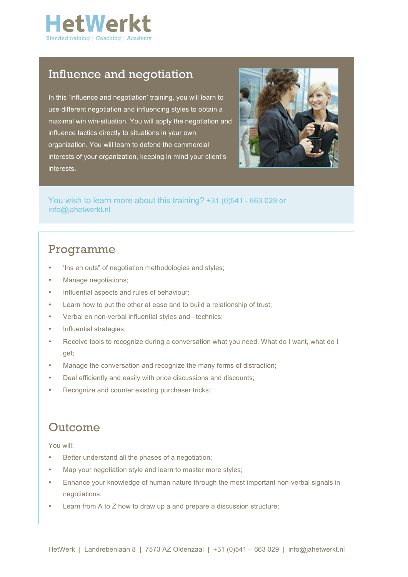

### Influence and negotiation

In this 'Influence and negotiation' training, you will learn to use different negotiation and influencing styles to obtain a maximal win win-situation. You will apply the negotiation and influence tactics directly to situations in your own organization. You will learn to defend the commercial interests of your organization, keeping in mind your client's interests.



You wish to learn more about this training? +31 (0)541 - 663 029 or info@jahetwerkt.nl

## Programme

- 'Ins en outs" of negotiation methodologies and styles;
- Manage negotiations;
- Influential aspects and rules of behaviour;
- Learn how to put the other at ease and to build a relationship of trust;
- Verbal en non-verbal influential styles and –technics;
- Influential strategies;
- Receive tools to recognize during a conversation what you need. What do I want, what do I get;
- Manage the conversation and recognize the many forms of distraction;
- Deal efficiently and easily with price discussions and discounts;
- Recognize and counter existing purchaser tricks;

### Outcome

You will:

- Better understand all the phases of a negotiation;
- Map your negotiation style and learn to master more styles:
- Enhance your knowledge of human nature through the most important non-verbal signals in negotiations;
- Learn from A to Z how to draw up a and prepare a discussion structure;